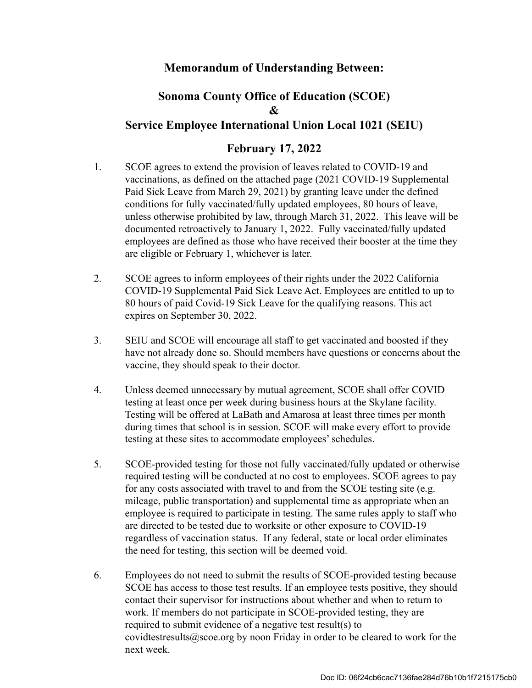## **Memorandum of Understanding Between:**

## **Sonoma County Office of Education (SCOE) & Service Employee International Union Local 1021 (SEIU)**

## **February 17, 2022**

- 1. SCOE agrees to extend the provision of leaves related to COVID-19 and vaccinations, as defined on the attached page (2021 COVID-19 Supplemental Paid Sick Leave from March 29, 2021) by granting leave under the defined conditions for fully vaccinated/fully updated employees, 80 hours of leave, unless otherwise prohibited by law, through March 31, 2022. This leave will be documented retroactively to January 1, 2022. Fully vaccinated/fully updated employees are defined as those who have received their booster at the time they are eligible or February 1, whichever is later.
- 2. SCOE agrees to inform employees of their rights under the 2022 California COVID-19 Supplemental Paid Sick Leave Act. Employees are entitled to up to 80 hours of paid Covid-19 Sick Leave for the qualifying reasons. This act expires on September 30, 2022.
- 3. SEIU and SCOE will encourage all staff to get vaccinated and boosted if they have not already done so. Should members have questions or concerns about the vaccine, they should speak to their doctor.
- 4. Unless deemed unnecessary by mutual agreement, SCOE shall offer COVID testing at least once per week during business hours at the Skylane facility. Testing will be offered at LaBath and Amarosa at least three times per month during times that school is in session. SCOE will make every effort to provide testing at these sites to accommodate employees' schedules.
- 5. SCOE-provided testing for those not fully vaccinated/fully updated or otherwise required testing will be conducted at no cost to employees. SCOE agrees to pay for any costs associated with travel to and from the SCOE testing site (e.g. mileage, public transportation) and supplemental time as appropriate when an employee is required to participate in testing. The same rules apply to staff who are directed to be tested due to worksite or other exposure to COVID-19 regardless of vaccination status. If any federal, state or local order eliminates the need for testing, this section will be deemed void.
- 6. Employees do not need to submit the results of SCOE-provided testing because SCOE has access to those test results. If an employee tests positive, they should contact their supervisor for instructions about whether and when to return to work. If members do not participate in SCOE-provided testing, they are required to submit evidence of a negative test result(s) to covidtestresults@scoe.org by noon Friday in order to be cleared to work for the next week.